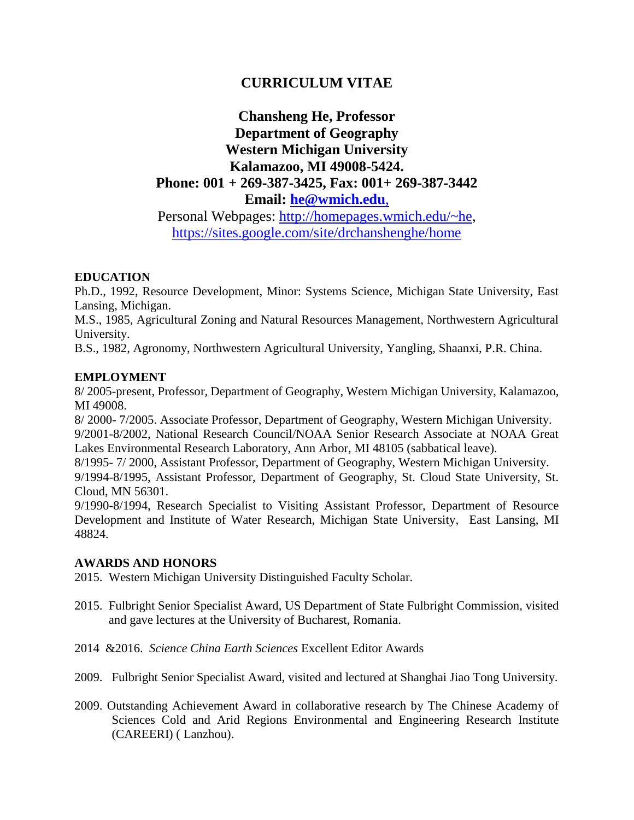# **CURRICULUM VITAE**

# **Chansheng He, Professor Department of Geography Western Michigan University Kalamazoo, MI 49008-5424. Phone: 001 + 269-387-3425, Fax: 001+ 269-387-3442 Email: [he@wmich.edu](mailto:he@wmich.edu)**,

Personal Webpages: [http://homepages.wmich.edu/~he,](http://homepages.wmich.edu/~he) <https://sites.google.com/site/drchanshenghe/home>

# **EDUCATION**

Ph.D., 1992, Resource Development, Minor: Systems Science, Michigan State University, East Lansing, Michigan.

M.S., 1985, Agricultural Zoning and Natural Resources Management, Northwestern Agricultural University.

B.S., 1982, Agronomy, Northwestern Agricultural University, Yangling, Shaanxi, P.R. China.

# **EMPLOYMENT**

8/ 2005-present, Professor, Department of Geography, Western Michigan University, Kalamazoo, MI 49008.

8/ 2000- 7/2005. Associate Professor, Department of Geography, Western Michigan University. 9/2001-8/2002, National Research Council/NOAA Senior Research Associate at NOAA Great Lakes Environmental Research Laboratory, Ann Arbor, MI 48105 (sabbatical leave).

8/1995- 7/ 2000, Assistant Professor, Department of Geography, Western Michigan University.

9/1994-8/1995, Assistant Professor, Department of Geography, St. Cloud State University, St. Cloud, MN 56301.

9/1990-8/1994, Research Specialist to Visiting Assistant Professor, Department of Resource Development and Institute of Water Research, Michigan State University, East Lansing, MI 48824.

## **AWARDS AND HONORS**

2015. Western Michigan University Distinguished Faculty Scholar.

- 2015. Fulbright Senior Specialist Award, US Department of State Fulbright Commission, visited and gave lectures at the University of Bucharest, Romania.
- 2014 &2016. *Science China Earth Sciences* Excellent Editor Awards
- 2009. Fulbright Senior Specialist Award, visited and lectured at Shanghai Jiao Tong University.
- 2009. Outstanding Achievement Award in collaborative research by The Chinese Academy of Sciences Cold and Arid Regions Environmental and Engineering Research Institute (CAREERI) ( Lanzhou).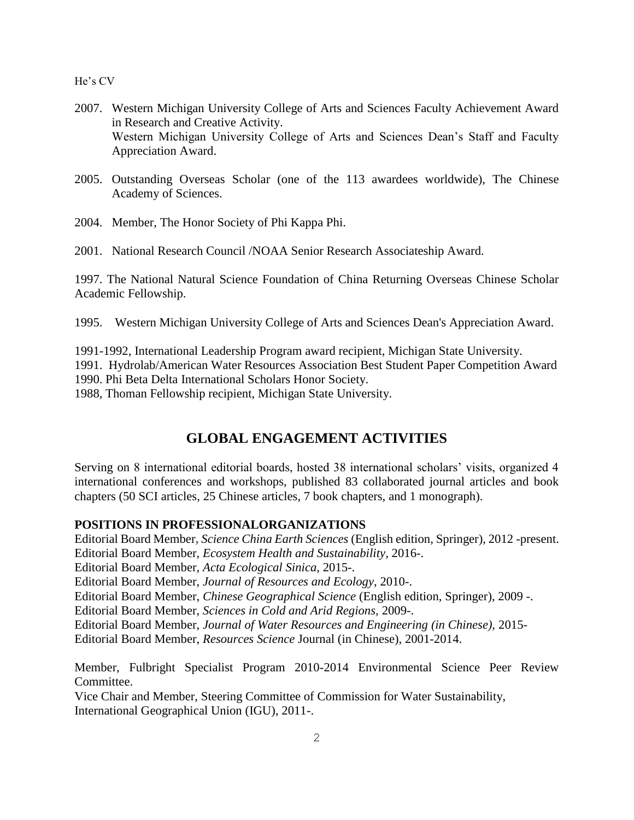- 2007. Western Michigan University College of Arts and Sciences Faculty Achievement Award in Research and Creative Activity. Western Michigan University College of Arts and Sciences Dean's Staff and Faculty Appreciation Award.
- 2005. Outstanding Overseas Scholar (one of the 113 awardees worldwide), The Chinese Academy of Sciences.
- 2004. Member, The Honor Society of Phi Kappa Phi.
- 2001. National Research Council /NOAA Senior Research Associateship Award.

1997. The National Natural Science Foundation of China Returning Overseas Chinese Scholar Academic Fellowship.

1995. Western Michigan University College of Arts and Sciences Dean's Appreciation Award.

1991-1992, International Leadership Program award recipient, Michigan State University.

1991. Hydrolab/American Water Resources Association Best Student Paper Competition Award 1990. Phi Beta Delta International Scholars Honor Society.

1988, Thoman Fellowship recipient, Michigan State University.

# **GLOBAL ENGAGEMENT ACTIVITIES**

Serving on 8 international editorial boards, hosted 38 international scholars' visits, organized 4 international conferences and workshops, published 83 collaborated journal articles and book chapters (50 SCI articles, 25 Chinese articles, 7 book chapters, and 1 monograph).

# **POSITIONS IN PROFESSIONALORGANIZATIONS**

Editorial Board Member**,** *Science China Earth Sciences* (English edition, Springer), 2012 -present. Editorial Board Member, *Ecosystem Health and Sustainability*, 2016-.

Editorial Board Member, *Acta Ecological Sinica*, 2015-.

Editorial Board Member, *Journal of Resources and Ecology*, 2010-.

Editorial Board Member, *Chinese Geographical Science* (English edition, Springer), 2009 -.

Editorial Board Member, *Sciences in Cold and Arid Regions,* 2009-.

Editorial Board Member, *Journal of Water Resources and Engineering (in Chinese),* 2015-

Editorial Board Member, *Resources Science* Journal (in Chinese), 2001-2014.

Member, Fulbright Specialist Program 2010-2014 Environmental Science Peer Review Committee.

Vice Chair and Member, Steering Committee of Commission for Water Sustainability, International Geographical Union (IGU), 2011-.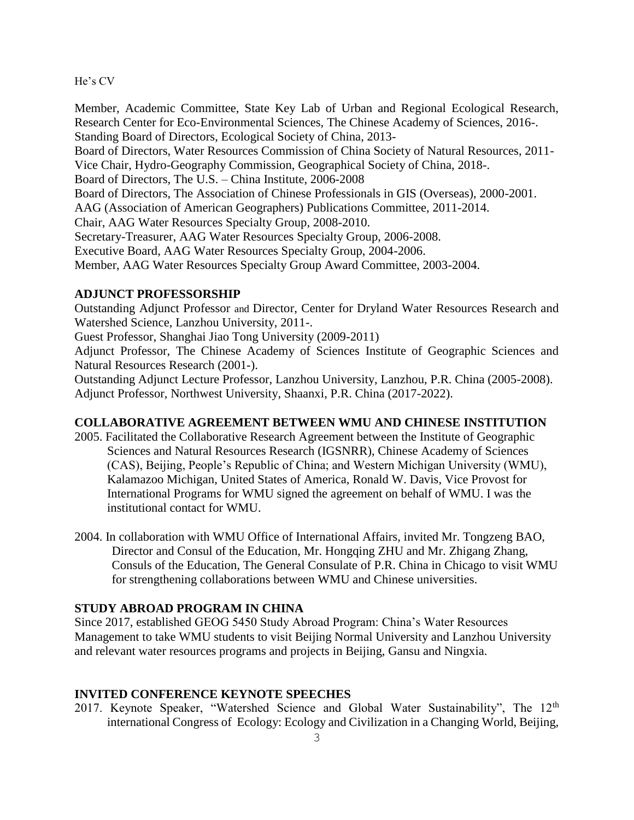Member, Academic Committee, State Key Lab of Urban and Regional Ecological Research, Research Center for Eco-Environmental Sciences, The Chinese Academy of Sciences, 2016-. Standing Board of Directors, Ecological Society of China, 2013- Board of Directors, Water Resources Commission of China Society of Natural Resources, 2011- Vice Chair, Hydro-Geography Commission, Geographical Society of China, 2018-. Board of Directors, The U.S. – China Institute, 2006-2008 Board of Directors, The Association of Chinese Professionals in GIS (Overseas), 2000-2001. AAG (Association of American Geographers) Publications Committee, 2011-2014. Chair, AAG Water Resources Specialty Group, 2008-2010. Secretary-Treasurer, AAG Water Resources Specialty Group, 2006-2008. Executive Board, AAG Water Resources Specialty Group, 2004-2006. Member, AAG Water Resources Specialty Group Award Committee, 2003-2004.

#### **ADJUNCT PROFESSORSHIP**

Outstanding Adjunct Professor and Director, Center for Dryland Water Resources Research and Watershed Science, Lanzhou University, 2011-.

Guest Professor, Shanghai Jiao Tong University (2009-2011)

Adjunct Professor, The Chinese Academy of Sciences Institute of Geographic Sciences and Natural Resources Research (2001-).

Outstanding Adjunct Lecture Professor, Lanzhou University, Lanzhou, P.R. China (2005-2008). Adjunct Professor, Northwest University, Shaanxi, P.R. China (2017-2022).

# **COLLABORATIVE AGREEMENT BETWEEN WMU AND CHINESE INSTITUTION**

- 2005. Facilitated the Collaborative Research Agreement between the Institute of Geographic Sciences and Natural Resources Research (IGSNRR), Chinese Academy of Sciences (CAS), Beijing, People's Republic of China; and Western Michigan University (WMU), Kalamazoo Michigan, United States of America, Ronald W. Davis, Vice Provost for International Programs for WMU signed the agreement on behalf of WMU. I was the institutional contact for WMU.
- 2004. In collaboration with WMU Office of International Affairs, invited Mr. Tongzeng BAO, Director and Consul of the Education, Mr. Hongqing ZHU and Mr. Zhigang Zhang, Consuls of the Education, The General Consulate of P.R. China in Chicago to visit WMU for strengthening collaborations between WMU and Chinese universities.

## **STUDY ABROAD PROGRAM IN CHINA**

Since 2017, established GEOG 5450 Study Abroad Program: China's Water Resources Management to take WMU students to visit Beijing Normal University and Lanzhou University and relevant water resources programs and projects in Beijing, Gansu and Ningxia.

#### **INVITED CONFERENCE KEYNOTE SPEECHES**

2017. Keynote Speaker, "Watershed Science and Global Water Sustainability", The 12<sup>th</sup> international Congress of Ecology: Ecology and Civilization in a Changing World, Beijing,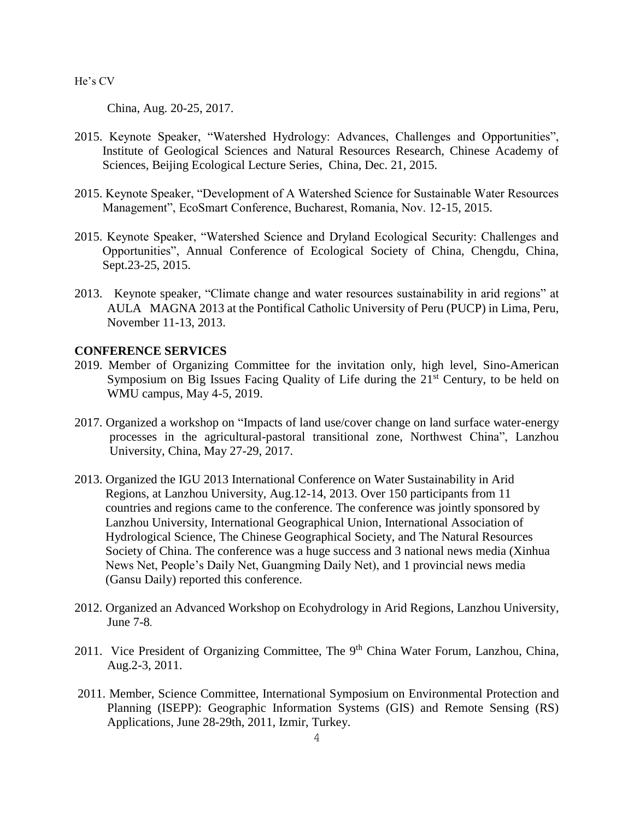China, Aug. 20-25, 2017.

- 2015. Keynote Speaker, "Watershed Hydrology: Advances, Challenges and Opportunities", Institute of Geological Sciences and Natural Resources Research, Chinese Academy of Sciences, Beijing Ecological Lecture Series, China, Dec. 21, 2015.
- 2015. Keynote Speaker, "Development of A Watershed Science for Sustainable Water Resources Management", EcoSmart Conference, Bucharest, Romania, Nov. 12-15, 2015.
- 2015. Keynote Speaker, "Watershed Science and Dryland Ecological Security: Challenges and Opportunities", Annual Conference of Ecological Society of China, Chengdu, China, Sept.23-25, 2015.
- 2013. Keynote speaker, "Climate change and water resources sustainability in arid regions" at AULA MAGNA 2013 at the Pontifical Catholic University of Peru (PUCP) in Lima, Peru, November 11-13, 2013.

# **CONFERENCE SERVICES**

- 2019. Member of Organizing Committee for the invitation only, high level, Sino-American Symposium on Big Issues Facing Quality of Life during the  $21<sup>st</sup>$  Century, to be held on WMU campus, May 4-5, 2019.
- 2017. Organized a workshop on "Impacts of land use/cover change on land surface water-energy processes in the agricultural-pastoral transitional zone, Northwest China", Lanzhou University, China, May 27-29, 2017.
- 2013. Organized the IGU 2013 International Conference on Water Sustainability in Arid Regions, at Lanzhou University, Aug.12-14, 2013. Over 150 participants from 11 countries and regions came to the conference. The conference was jointly sponsored by Lanzhou University, International Geographical Union, International Association of Hydrological Science, The Chinese Geographical Society, and The Natural Resources Society of China. The conference was a huge success and 3 national news media (Xinhua News Net, People's Daily Net, Guangming Daily Net), and 1 provincial news media (Gansu Daily) reported this conference.
- 2012. Organized an Advanced Workshop on Ecohydrology in Arid Regions, Lanzhou University, June 7-8.
- 2011. Vice President of Organizing Committee, The 9<sup>th</sup> China Water Forum, Lanzhou, China, Aug.2-3, 2011.
- 2011. Member, Science Committee, International Symposium on Environmental Protection and Planning (ISEPP): Geographic Information Systems (GIS) and Remote Sensing (RS) Applications, June 28-29th, 2011, Izmir, Turkey.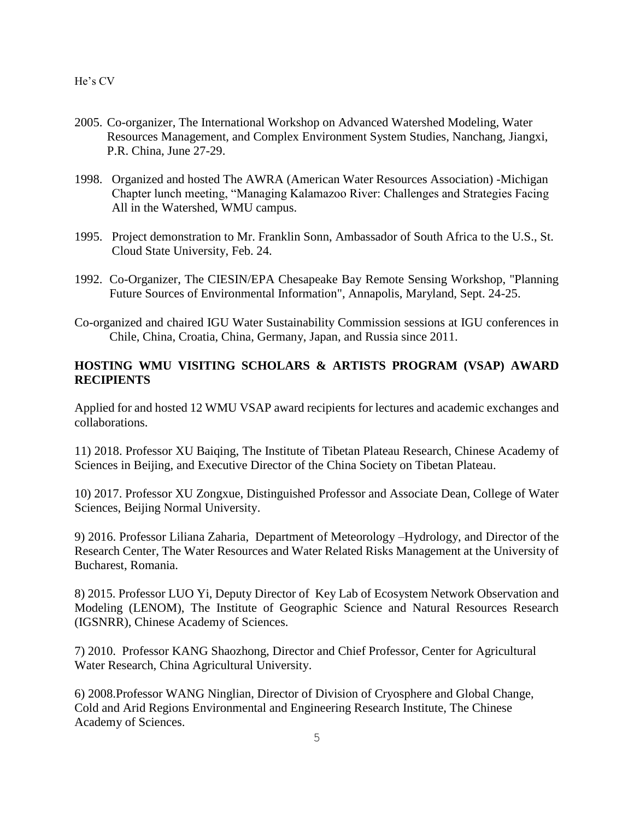- 2005. Co-organizer, The International Workshop on Advanced Watershed Modeling, Water Resources Management, and Complex Environment System Studies, Nanchang, Jiangxi, P.R. China, June 27-29.
- 1998. Organized and hosted The AWRA (American Water Resources Association) -Michigan Chapter lunch meeting, "Managing Kalamazoo River: Challenges and Strategies Facing All in the Watershed, WMU campus.
- 1995. Project demonstration to Mr. Franklin Sonn, Ambassador of South Africa to the U.S., St. Cloud State University, Feb. 24.
- 1992. Co-Organizer, The CIESIN/EPA Chesapeake Bay Remote Sensing Workshop, "Planning Future Sources of Environmental Information", Annapolis, Maryland, Sept. 24-25.
- Co-organized and chaired IGU Water Sustainability Commission sessions at IGU conferences in Chile, China, Croatia, China, Germany, Japan, and Russia since 2011.

# **HOSTING WMU VISITING SCHOLARS & ARTISTS PROGRAM (VSAP) AWARD RECIPIENTS**

Applied for and hosted 12 WMU VSAP award recipients for lectures and academic exchanges and collaborations.

11) 2018. Professor XU Baiqing, The Institute of Tibetan Plateau Research, Chinese Academy of Sciences in Beijing, and Executive Director of the China Society on Tibetan Plateau.

10) 2017. Professor XU Zongxue, Distinguished Professor and Associate Dean, College of Water Sciences, Beijing Normal University.

9) 2016. Professor Liliana Zaharia, Department of Meteorology –Hydrology, and Director of the Research Center, The Water Resources and Water Related Risks Management at the University of Bucharest, Romania.

8) 2015. Professor LUO Yi, Deputy Director of Key Lab of Ecosystem Network Observation and Modeling (LENOM), The Institute of Geographic Science and Natural Resources Research (IGSNRR), Chinese Academy of Sciences.

7) 2010. Professor KANG Shaozhong, Director and Chief Professor, Center for Agricultural Water Research, China Agricultural University.

6) 2008.Professor WANG Ninglian, Director of Division of Cryosphere and Global Change, Cold and Arid Regions Environmental and Engineering Research Institute, The Chinese Academy of Sciences.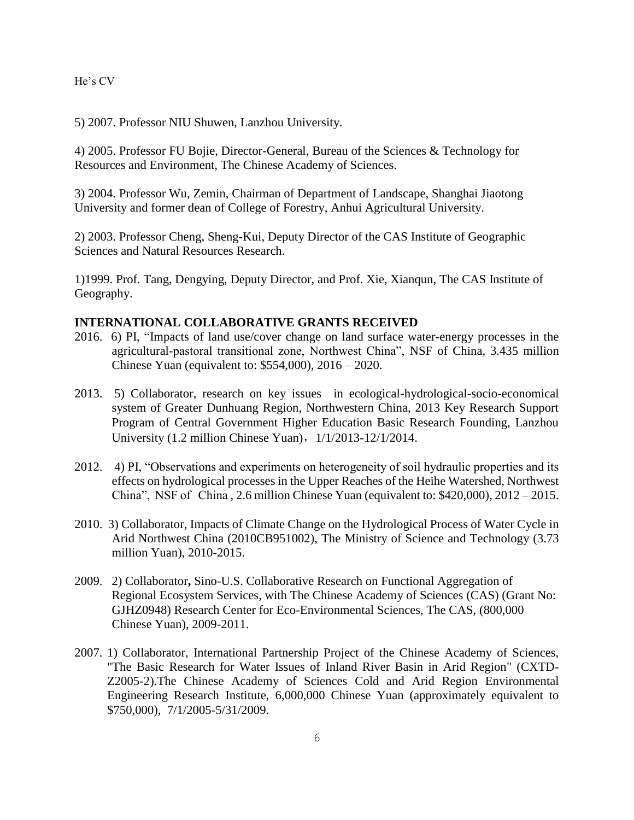5) 2007. Professor NIU Shuwen, Lanzhou University.

4) 2005. Professor FU Bojie, Director-General, Bureau of the Sciences & Technology for Resources and Environment, The Chinese Academy of Sciences.

3) 2004. Professor Wu, Zemin, Chairman of Department of Landscape, Shanghai Jiaotong University and former dean of College of Forestry, Anhui Agricultural University.

2) 2003. Professor Cheng, Sheng-Kui, Deputy Director of the CAS Institute of Geographic Sciences and Natural Resources Research.

1)1999. Prof. Tang, Dengying, Deputy Director, and Prof. Xie, Xianqun, The CAS Institute of Geography.

## **INTERNATIONAL COLLABORATIVE GRANTS RECEIVED**

- 2016. 6) PI, "Impacts of land use/cover change on land surface water-energy processes in the agricultural-pastoral transitional zone, Northwest China", NSF of China, 3.435 million Chinese Yuan (equivalent to: \$554,000), 2016 – 2020.
- 2013. 5) Collaborator, research on key issues in ecological-hydrological-socio-economical system of Greater Dunhuang Region, Northwestern China, 2013 Key Research Support Program of Central Government Higher Education Basic Research Founding, Lanzhou University (1.2 million Chinese Yuan), 1/1/2013-12/1/2014.
- 2012. 4) PI, "Observations and experiments on heterogeneity of soil hydraulic properties and its effects on hydrological processes in the Upper Reaches of the Heihe Watershed, Northwest China", NSF of China , 2.6 million Chinese Yuan (equivalent to: \$420,000), 2012 – 2015.
- 2010. 3) Collaborator, Impacts of Climate Change on the Hydrological Process of Water Cycle in Arid Northwest China (2010CB951002), The Ministry of Science and Technology (3.73 million Yuan), 2010-2015.
- 2009. 2) Collaborator**,** Sino-U.S. Collaborative Research on Functional Aggregation of Regional Ecosystem Services, with The Chinese Academy of Sciences (CAS) (Grant No: GJHZ0948) Research Center for Eco-Environmental Sciences, The CAS, (800,000 Chinese Yuan), 2009-2011.
- 2007. 1) Collaborator, International Partnership Project of the Chinese Academy of Sciences, "The Basic Research for Water Issues of Inland River Basin in Arid Region" (CXTD-Z2005-2).The Chinese Academy of Sciences Cold and Arid Region Environmental Engineering Research Institute, 6,000,000 Chinese Yuan (approximately equivalent to \$750,000), 7/1/2005-5/31/2009.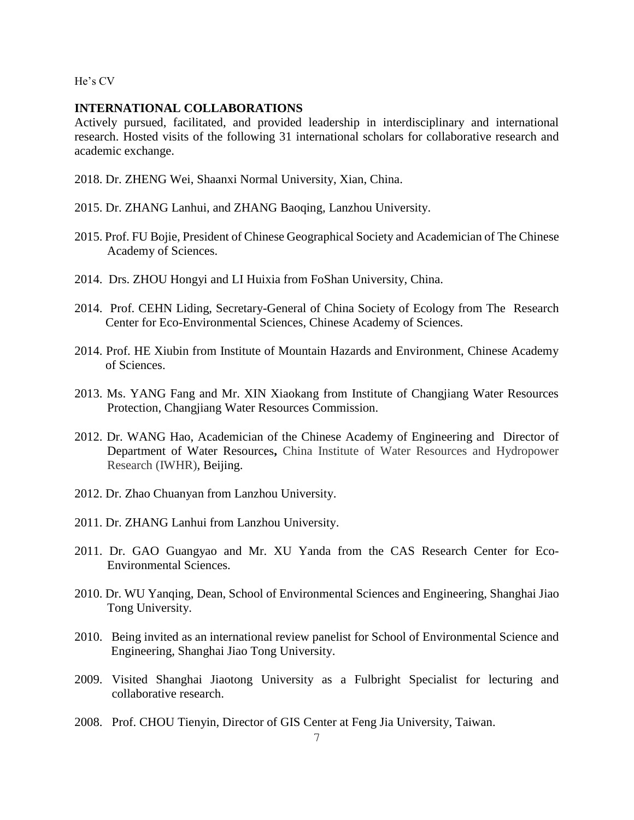# **INTERNATIONAL COLLABORATIONS**

Actively pursued, facilitated, and provided leadership in interdisciplinary and international research. Hosted visits of the following 31 international scholars for collaborative research and academic exchange.

- 2018. Dr. ZHENG Wei, Shaanxi Normal University, Xian, China.
- 2015. Dr. ZHANG Lanhui, and ZHANG Baoqing, Lanzhou University.
- 2015. Prof. FU Bojie, President of Chinese Geographical Society and Academician of The Chinese Academy of Sciences.
- 2014. Drs. ZHOU Hongyi and LI Huixia from FoShan University, China.
- 2014. Prof. CEHN Liding, Secretary-General of China Society of Ecology from The Research Center for Eco-Environmental Sciences, Chinese Academy of Sciences.
- 2014. Prof. HE Xiubin from Institute of Mountain Hazards and Environment, Chinese Academy of Sciences.
- 2013. Ms. YANG Fang and Mr. XIN Xiaokang from Institute of Changjiang Water Resources Protection, Changjiang Water Resources Commission.
- 2012. Dr. WANG Hao, Academician of the Chinese Academy of Engineering and Director of Department of Water Resources**,** China Institute of Water Resources and Hydropower Research (IWHR), Beijing.
- 2012. Dr. Zhao Chuanyan from Lanzhou University.
- 2011. Dr. ZHANG Lanhui from Lanzhou University.
- 2011. Dr. GAO Guangyao and Mr. XU Yanda from the CAS Research Center for Eco-Environmental Sciences.
- 2010. Dr. WU Yanqing, Dean, School of Environmental Sciences and Engineering, Shanghai Jiao Tong University.
- 2010. Being invited as an international review panelist for School of Environmental Science and Engineering, Shanghai Jiao Tong University.
- 2009. Visited Shanghai Jiaotong University as a Fulbright Specialist for lecturing and collaborative research.
- 2008. Prof. CHOU Tienyin, Director of GIS Center at Feng Jia University, Taiwan.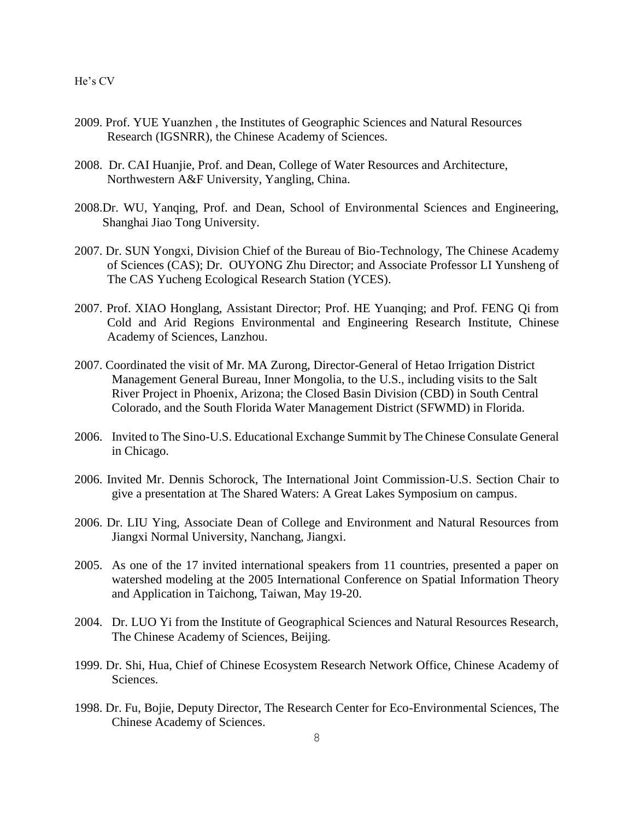- 2009. Prof. YUE Yuanzhen , the Institutes of Geographic Sciences and Natural Resources Research (IGSNRR), the Chinese Academy of Sciences.
- 2008. Dr. CAI Huanjie, Prof. and Dean, College of Water Resources and Architecture, Northwestern A&F University, Yangling, China.
- 2008.Dr. WU, Yanqing, Prof. and Dean, School of Environmental Sciences and Engineering, Shanghai Jiao Tong University.
- 2007. Dr. SUN Yongxi, Division Chief of the Bureau of Bio-Technology, The Chinese Academy of Sciences (CAS); Dr. OUYONG Zhu Director; and Associate Professor LI Yunsheng of The CAS Yucheng Ecological Research Station (YCES).
- 2007. Prof. XIAO Honglang, Assistant Director; Prof. HE Yuanqing; and Prof. FENG Qi from Cold and Arid Regions Environmental and Engineering Research Institute, Chinese Academy of Sciences, Lanzhou.
- 2007. Coordinated the visit of Mr. MA Zurong, Director-General of Hetao Irrigation District Management General Bureau, Inner Mongolia, to the U.S., including visits to the Salt River Project in Phoenix, Arizona; the Closed Basin Division (CBD) in South Central Colorado, and the South Florida Water Management District (SFWMD) in Florida.
- 2006. Invited to The Sino-U.S. Educational Exchange Summit by The Chinese Consulate General in Chicago.
- 2006. Invited Mr. Dennis Schorock, The International Joint Commission-U.S. Section Chair to give a presentation at The Shared Waters: A Great Lakes Symposium on campus.
- 2006. Dr. LIU Ying, Associate Dean of College and Environment and Natural Resources from Jiangxi Normal University, Nanchang, Jiangxi.
- 2005. As one of the 17 invited international speakers from 11 countries, presented a paper on watershed modeling at the 2005 International Conference on Spatial Information Theory and Application in Taichong, Taiwan, May 19-20.
- 2004. Dr. LUO Yi from the Institute of Geographical Sciences and Natural Resources Research, The Chinese Academy of Sciences, Beijing.
- 1999. Dr. Shi, Hua, Chief of Chinese Ecosystem Research Network Office, Chinese Academy of Sciences.
- 1998. Dr. Fu, Bojie, Deputy Director, The Research Center for Eco-Environmental Sciences, The Chinese Academy of Sciences.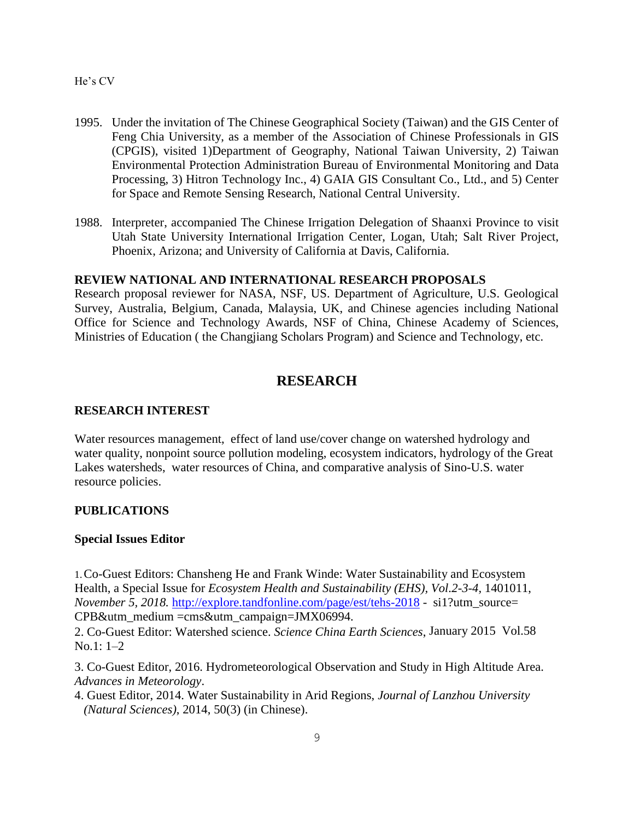- 1995. Under the invitation of The Chinese Geographical Society (Taiwan) and the GIS Center of Feng Chia University, as a member of the Association of Chinese Professionals in GIS (CPGIS), visited 1)Department of Geography, National Taiwan University, 2) Taiwan Environmental Protection Administration Bureau of Environmental Monitoring and Data Processing, 3) Hitron Technology Inc., 4) GAIA GIS Consultant Co., Ltd., and 5) Center for Space and Remote Sensing Research, National Central University.
- 1988. Interpreter, accompanied The Chinese Irrigation Delegation of Shaanxi Province to visit Utah State University International Irrigation Center, Logan, Utah; Salt River Project, Phoenix, Arizona; and University of California at Davis, California.

# **REVIEW NATIONAL AND INTERNATIONAL RESEARCH PROPOSALS**

Research proposal reviewer for NASA, NSF, US. Department of Agriculture, U.S. Geological Survey, Australia, Belgium, Canada, Malaysia, UK, and Chinese agencies including National Office for Science and Technology Awards, NSF of China, Chinese Academy of Sciences, Ministries of Education ( the Changjiang Scholars Program) and Science and Technology, etc.

# **RESEARCH**

#### **RESEARCH INTEREST**

Water resources management, effect of land use/cover change on watershed hydrology and water quality, nonpoint source pollution modeling, ecosystem indicators, hydrology of the Great Lakes watersheds, water resources of China, and comparative analysis of Sino-U.S. water resource policies.

#### **PUBLICATIONS**

#### **Special Issues Editor**

1.Co-Guest Editors: Chansheng He and Frank Winde: Water Sustainability and Ecosystem Health, a Special Issue for *Ecosystem Health and Sustainability (EHS), Vol.2-3-4,* 1401011, *November 5, 2018.* <http://explore.tandfonline.com/page/est/tehs-2018> - si1?utm\_source= CPB&utm\_medium =cms&utm\_campaign=JMX06994.

2. Co-Guest Editor: Watershed science. *Science China Earth Sciences*, January 2015 Vol.58 No.1: 1–2

3. Co-Guest Editor, 2016. Hydrometeorological Observation and Study in High Altitude Area. *Advances in Meteorology*.

4. Guest Editor, 2014. Water Sustainability in Arid Regions, *Journal of Lanzhou University (Natural Sciences)*, 2014, 50(3) (in Chinese).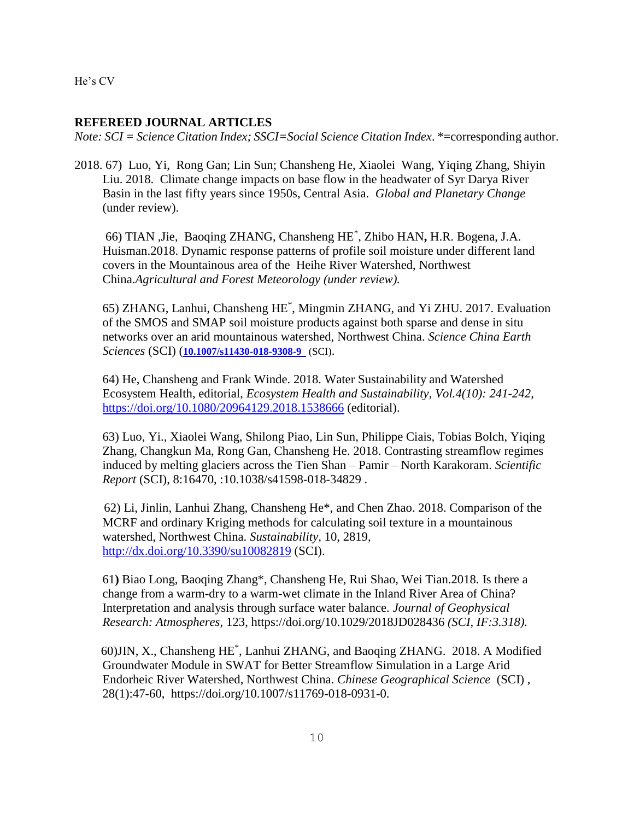### **REFEREED JOURNAL ARTICLES**

*Note: SCI = Science Citation Index; SSCI=Social Science Citation Index*. \*=corresponding author.

2018. 67) Luo, Yi, Rong Gan; Lin Sun; Chansheng He, Xiaolei Wang, Yiqing Zhang, Shiyin Liu. 2018. Climate change impacts on base flow in the headwater of Syr Darya River Basin in the last fifty years since 1950s, Central Asia. *Global and Planetary Change* (under review).

66) TIAN ,Jie, Baoqing ZHANG, Chansheng HE\* , Zhibo HAN**,** H.R. Bogena, J.A. Huisman.2018. Dynamic response patterns of profile soil moisture under different land covers in the Mountainous area of the Heihe River Watershed, Northwest China.*Agricultural and Forest Meteorology (under review).*

65) ZHANG, Lanhui, Chansheng HE\* , Mingmin ZHANG, and Yi ZHU. 2017. Evaluation of the SMOS and SMAP soil moisture products against both sparse and dense in situ networks over an arid mountainous watershed, Northwest China. *Science China Earth Sciences* (SCI) (**[10.1007/s11430-018-9308-9](https://doi.org/10.1007/s11430-018-9308-9)** (SCI).

64) He, Chansheng and Frank Winde. 2018. Water Sustainability and Watershed Ecosystem Health, editorial, *Ecosystem Health and Sustainability, Vol.4(10): 241-242,*  <https://doi.org/10.1080/20964129.2018.1538666> (editorial).

 63) Luo, Yi., Xiaolei Wang, Shilong Piao, Lin Sun, Philippe Ciais, Tobias Bolch, Yiqing Zhang, Changkun Ma, Rong Gan, Chansheng He. 2018. Contrasting streamflow regimes induced by melting glaciers across the Tien Shan – Pamir – North Karakoram. *Scientific Report* (SCI), 8:16470, :10.1038/s41598-018-34829 .

62) Li, Jinlin, Lanhui Zhang, Chansheng He\*, and Chen Zhao. 2018. Comparison of the MCRF and ordinary Kriging methods for calculating soil texture in a mountainous watershed, Northwest China. *Sustainability,* 10, 2819, <http://dx.doi.org/10.3390/su10082819> (SCI).

61**)** Biao Long, Baoqing Zhang\*, Chansheng He, Rui Shao, Wei Tian.2018. Is there a change from a warm-dry to a warm-wet climate in the Inland River Area of China? Interpretation and analysis through surface water balance. *Journal of Geophysical Research: Atmospheres,* 123, https://doi.org/10.1029/2018JD028436 *(SCI, IF:3.318).*

 60)JIN, X., Chansheng HE\* , Lanhui ZHANG, and Baoqing ZHANG. 2018. A Modified Groundwater Module in SWAT for Better Streamflow Simulation in a Large Arid Endorheic River Watershed, Northwest China. *Chinese Geographical Science* (SCI) , 28(1):47-60, https://doi.org/10.1007/s11769-018-0931-0.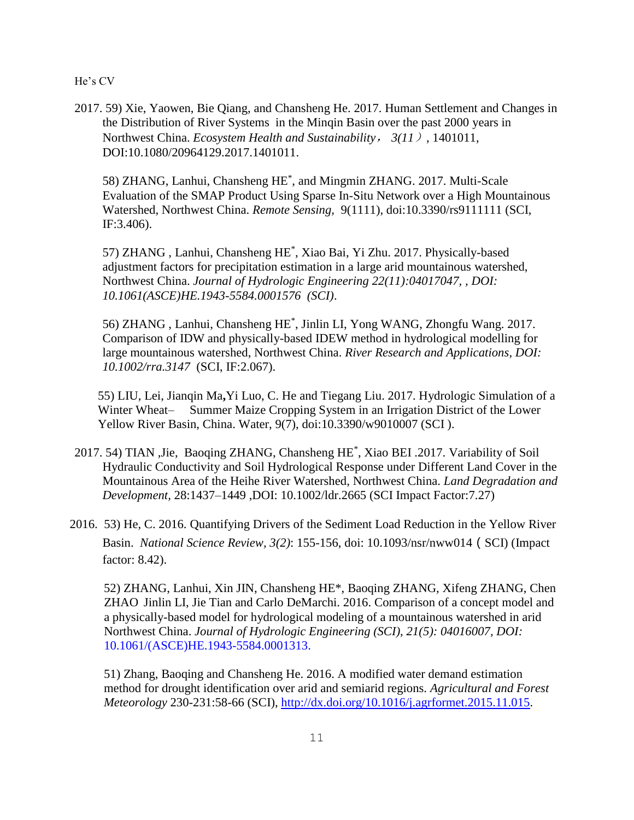2017. 59) Xie, Yaowen, Bie Qiang, and Chansheng He. 2017. Human Settlement and Changes in the Distribution of River Systems in the Minqin Basin over the past 2000 years in Northwest China. *Ecosystem Health and Sustainability*, *3(11*), 1401011, DOI:10.1080/20964129.2017.1401011.

58) ZHANG, Lanhui, Chansheng HE\* , and Mingmin ZHANG. 2017. Multi-Scale Evaluation of the SMAP Product Using Sparse In-Situ Network over a High Mountainous Watershed, Northwest China. *Remote Sensing,* 9(1111), doi:10.3390/rs9111111 (SCI, IF:3.406).

57) ZHANG , Lanhui, Chansheng HE\* , Xiao Bai, Yi Zhu. 2017. Physically-based adjustment factors for precipitation estimation in a large arid mountainous watershed, Northwest China. *Journal of Hydrologic Engineering 22(11):04017047, , DOI: 10.1061(ASCE)HE.1943-5584.0001576 (SCI)*.

56) ZHANG , Lanhui, Chansheng HE\* , Jinlin LI, Yong WANG, Zhongfu Wang. 2017. Comparison of IDW and physically-based IDEW method in hydrological modelling for large mountainous watershed, Northwest China. *River Research and Applications, DOI: 10.1002/rra.3147* (SCI, IF:2.067).

55) LIU, Lei, Jianqin Ma**,**Yi Luo, C. He and Tiegang Liu. 2017. Hydrologic Simulation of a Winter Wheat– Summer Maize Cropping System in an Irrigation District of the Lower Yellow River Basin, China. Water, 9(7), doi:10.3390/w9010007 (SCI ).

- 2017. 54) TIAN ,Jie, Baoqing ZHANG, Chansheng HE\* , Xiao BEI .2017. Variability of Soil Hydraulic Conductivity and Soil Hydrological Response under Different Land Cover in the Mountainous Area of the Heihe River Watershed, Northwest China. *Land Degradation and Development,* 28:1437–1449 ,DOI: 10.1002/ldr.2665 (SCI Impact Factor:7.27)
- 2016. 53) He, C. 2016. Quantifying Drivers of the Sediment Load Reduction in the Yellow River Basin. *National Science Review, 3(2)*: 155-156, doi: 10.1093/nsr/nww014(SCI) (Impact factor: 8.42).

52) ZHANG, Lanhui, Xin JIN, Chansheng HE\*, Baoqing ZHANG, Xifeng ZHANG, Chen ZHAO Jinlin LI, Jie Tian and Carlo DeMarchi. 2016. Comparison of a concept model and a physically-based model for hydrological modeling of a mountainous watershed in arid Northwest China. *Journal of Hydrologic Engineering (SCI), 21(5): 04016007, DOI:* 10.1061/(ASCE)HE.1943-5584.0001313.

51) Zhang, Baoqing and Chansheng He. 2016. A modified water demand estimation method for drought identification over arid and semiarid regions. *Agricultural and Forest Meteorology* 230-231:58-66 (SCI), [http://dx.doi.org/10.1016/j.agrformet.2015.11.015.](http://dx.doi.org/10.1016/j.agrformet.2015.11.015)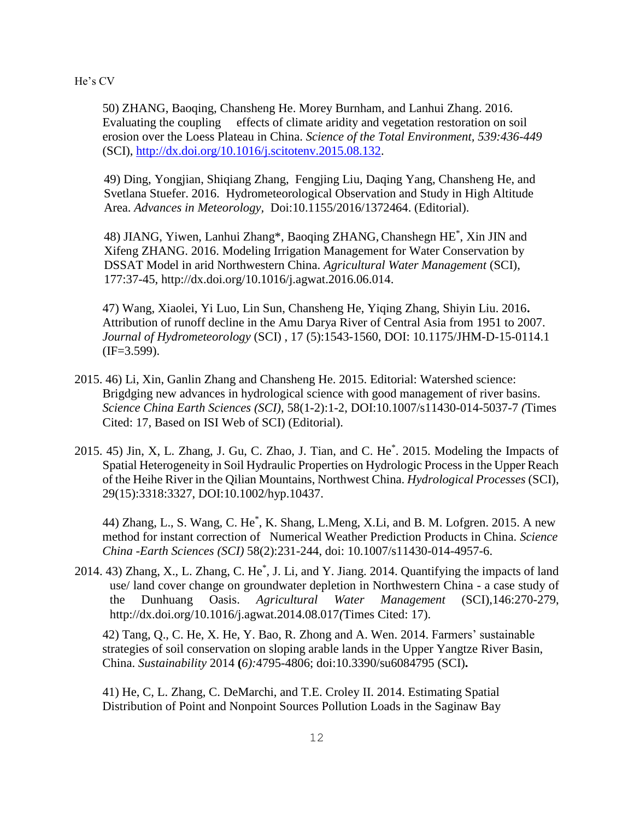50) ZHANG, Baoqing, Chansheng He. Morey Burnham, and Lanhui Zhang. 2016. Evaluating the coupling effects of climate aridity and vegetation restoration on soil erosion over the Loess Plateau in China. *Science of the Total Environment, 539:436-449* (SCI), [http://dx.doi.org/10.1016/j.scitotenv.2015.08.132.](http://dx.doi.org/10.1016/j.scitotenv.2015.08.132)

49) Ding, Yongjian, Shiqiang Zhang, Fengjing Liu, Daqing Yang, Chansheng He, and Svetlana Stuefer. 2016. Hydrometeorological Observation and Study in High Altitude Area. *Advances in Meteorology,* Doi:10.1155/2016/1372464. (Editorial).

48) JIANG, Yiwen, Lanhui Zhang\*, Baoqing ZHANG, Chanshegn HE\* , Xin JIN and Xifeng ZHANG. 2016. Modeling Irrigation Management for Water Conservation by DSSAT Model in arid Northwestern China. *Agricultural Water Management* (SCI), 177:37-45, http://dx.doi.org/10.1016/j.agwat.2016.06.014.

47) Wang, Xiaolei, Yi Luo, Lin Sun, Chansheng He, Yiqing Zhang, Shiyin Liu. 2016**.**  Attribution of runoff decline in the Amu Darya River of Central Asia from 1951 to 2007. *Journal of Hydrometeorology* (SCI) , 17 (5):1543-1560, DOI: 10.1175/JHM-D-15-0114.1  $(IF=3.599).$ 

- 2015. 46) Li, Xin, Ganlin Zhang and Chansheng He. 2015. Editorial: Watershed science: Brigdging new advances in hydrological science with good management of river basins. *Science China Earth Sciences (SCI)*, 58(1-2):1-2, DOI:10.1007/s11430-014-5037-7 *(*Times Cited: 17, Based on ISI Web of SCI) (Editorial).
- 2015. 45) Jin, X, L. Zhang, J. Gu, C. Zhao, J. Tian, and C. He\* . 2015. Modeling the Impacts of Spatial Heterogeneity in Soil Hydraulic Properties on Hydrologic Process in the Upper Reach of the Heihe River in the Qilian Mountains, Northwest China. *Hydrological Processes* (SCI), 29(15):3318:3327, DOI:10.1002/hyp.10437.

44) Zhang, L., S. Wang, C. He\*, K. Shang, L.Meng, X.Li, and B. M. Lofgren. 2015. A new method for instant correction of Numerical Weather Prediction Products in China. *Science China -Earth Sciences (SCI)* 58(2):231-244, doi: 10.1007/s11430-014-4957-6.

2014. 43) Zhang, X., L. Zhang, C. He\*, J. Li, and Y. Jiang. 2014. Quantifying the impacts of land use/ land cover change on groundwater depletion in Northwestern China - a case study of the Dunhuang Oasis. *Agricultural Water Management* (SCI),146:270-279, http://dx.doi.org/10.1016/j.agwat.2014.08.017*(*Times Cited: 17).

42) Tang, Q., C. He, X. He, Y. Bao, R. Zhong and A. Wen. 2014. Farmers' sustainable strategies of soil conservation on sloping arable lands in the Upper Yangtze River Basin, China. *Sustainability* 2014 **(***6):*4795-4806; doi:10.3390/su6084795 (SCI)**.**

41) He, C, L. Zhang, C. DeMarchi, and T.E. Croley II. 2014. Estimating Spatial Distribution of Point and Nonpoint Sources Pollution Loads in the Saginaw Bay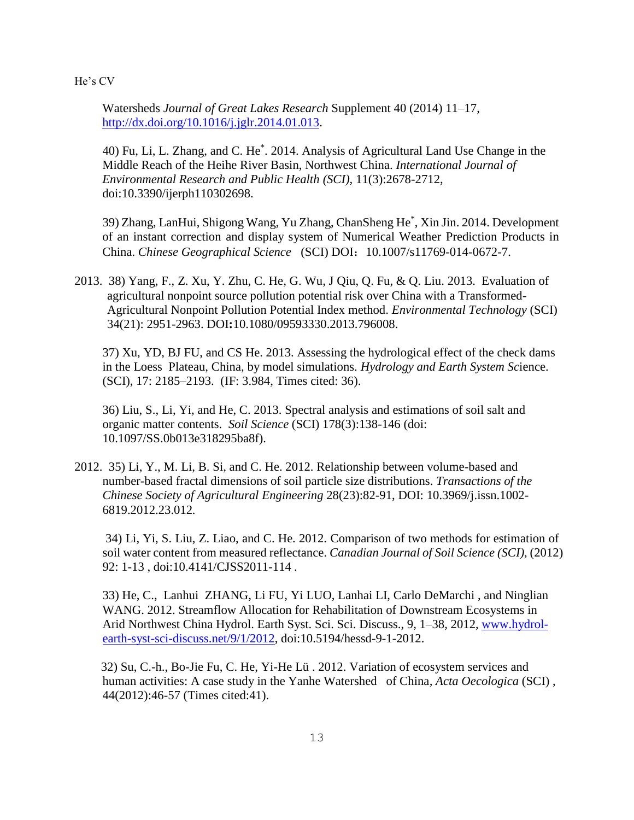Watersheds *Journal of Great Lakes Research* Supplement 40 (2014) 11–17, [http://dx.doi.org/10.1016/j.jglr.2014.01.013.](http://dx.doi.org/10.1016/j.jglr.2014.01.013)

40) Fu, Li, L. Zhang, and C. He\* . 2014. Analysis of Agricultural Land Use Change in the Middle Reach of the Heihe River Basin, Northwest China. *[International Journal of](http://www.mdpi.com/journal/ijerph)  [Environmental Research and Public Health](http://www.mdpi.com/journal/ijerph) (SCI),* 11(3):2678-2712, doi:10.3390/ijerph110302698.

39) Zhang, LanHui, Shigong Wang, Yu Zhang, ChanSheng He\* , Xin Jin. 2014. Development of an instant correction and display system of Numerical Weather Prediction Products in China. *Chinese Geographical Science* (SCI) DOI:10.1007/s11769-014-0672-7.

2013. 38) [Yang, F., Z. Xu,](http://www.tandfonline.com/action/doSearch?action=runSearch&type=advanced&searchType=journal&result=true&prevSearch=%2Bauthorsfield%3A(Yang%2C+F)) [Y. Zhu,](http://www.tandfonline.com/action/doSearch?action=runSearch&type=advanced&searchType=journal&result=true&prevSearch=%2Bauthorsfield%3A(Zhu%2C+Y)) [C. He,](http://www.tandfonline.com/action/doSearch?action=runSearch&type=advanced&searchType=journal&result=true&prevSearch=%2Bauthorsfield%3A(He%2C+C)) [G. Wu,](http://www.tandfonline.com/action/doSearch?action=runSearch&type=advanced&searchType=journal&result=true&prevSearch=%2Bauthorsfield%3A(Wu%2C+G)) [J Qiu,](http://www.tandfonline.com/action/doSearch?action=runSearch&type=advanced&searchType=journal&result=true&prevSearch=%2Bauthorsfield%3A(Qiu%2C+J+R)) [Q. Fu,](http://www.tandfonline.com/action/doSearch?action=runSearch&type=advanced&searchType=journal&result=true&prevSearch=%2Bauthorsfield%3A(Fu%2C+Q)) & [Q. Liu.](http://www.tandfonline.com/action/doSearch?action=runSearch&type=advanced&searchType=journal&result=true&prevSearch=%2Bauthorsfield%3A(Liu%2C+Q)) 2013. Evaluation of agricultural nonpoint source pollution potential risk over China with a Transformed-Agricultural Nonpoint Pollution Potential Index method. *Environmental Technology* (SCI) 34(21): 2951-2963. DOI**:**10.1080/09593330.2013.796008.

37) Xu, YD, BJ FU, and CS He. 2013. Assessing the hydrological effect of the check dams in the Loess Plateau, China, by model simulations. *Hydrology and Earth System Sc*ience. (SCI), 17: 2185–2193. (IF: 3.984, Times cited: 36).

36) Liu, S., Li, Yi, and He, C. 2013. Spectral analysis and estimations of soil salt and organic matter contents. *Soil Science* (SCI) 178(3):138-146 (doi: 10.1097/SS.0b013e318295ba8f).

2012. 35) Li, Y., M. Li, B. Si, and C. He. 2012. Relationship between volume-based and number-based fractal dimensions of soil particle size distributions. *Transactions of the Chinese Society of Agricultural Engineering* 28(23):82-91, DOI: 10.3969/j.issn.1002- 6819.2012.23.012*.* 

34) Li, Yi, S. Liu, Z. Liao, and C. He. 2012. Comparison of two methods for estimation of soil water content from measured reflectance. *Canadian Journal of Soil Science (SCI),* (2012) 92: 1-13 , doi:10.4141/CJSS2011-114 *.*

33) He, C., Lanhui ZHANG, Li FU, Yi LUO, Lanhai LI, Carlo DeMarchi , and Ninglian WANG. 2012. Streamflow Allocation for Rehabilitation of Downstream Ecosystems in Arid Northwest China Hydrol. Earth Syst. Sci. Sci. Discuss., 9, 1–38, 2012, [www.hydrol](http://www.hydrol-earth-syst-sci-discuss.net/9/1/2012)[earth-syst-sci-discuss.net/9/1/2012,](http://www.hydrol-earth-syst-sci-discuss.net/9/1/2012) doi:10.5194/hessd-9-1-2012.

32) Su, C.-h., Bo-Jie Fu, C. He, Yi-He Lü . 2012. Variation of ecosystem services and human activities: A case study in the Yanhe Watershed of China*, Acta Oecologica* (SCI) , 44(2012):46-57 (Times cited:41).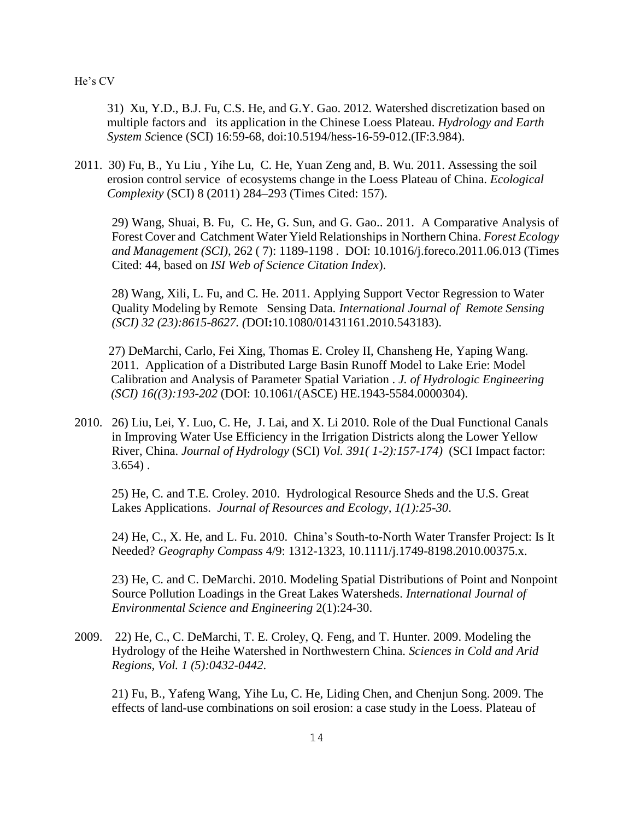31) Xu, Y.D., B.J. Fu, C.S. He, and G.Y. Gao. 2012. Watershed discretization based on multiple factors and its application in the Chinese Loess Plateau. *Hydrology and Earth System Sc*ience (SCI) 16:59-68, doi:10.5194/hess-16-59-012.(IF:3.984).

2011. 30) Fu, B., Yu Liu , Yihe Lu, C. He, Yuan Zeng and, B. Wu. 2011. Assessing the soil erosion control service of ecosystems change in the Loess Plateau of China. *Ecological Complexity* (SCI) 8 (2011) 284–293 (Times Cited: 157).

29) Wang, Shuai, B. Fu, C. He, G. Sun, and G. Gao.. 2011. A Comparative Analysis of Forest Cover and Catchment Water Yield Relationships in Northern China. *Forest Ecology and Management (SCI),* 262 ( 7): 1189-1198 . DOI: 10.1016/j.foreco.2011.06.013 (Times Cited: 44, based on *ISI Web of Science Citation Index*).

28) Wang, Xili, L. Fu, and C. He. 2011. Applying Support Vector Regression to Water Quality Modeling by Remote Sensing Data. *International Journal of Remote Sensing (SCI) 32 (23):8615-8627. (*DOI**:**10.1080/01431161.2010.543183).

 27) DeMarchi, Carlo, Fei Xing, Thomas E. Croley II, Chansheng He, Yaping Wang. 2011. Application of a Distributed Large Basin Runoff Model to Lake Erie: Model Calibration and Analysis of Parameter Spatial Variation . *J. of Hydrologic Engineering (SCI) 16((3):193-202* (DOI: 10.1061/(ASCE) HE.1943-5584.0000304).

2010. 26) Liu, Lei, Y. Luo, C. He, J. Lai, and X. Li 2010. Role of the Dual Functional Canals in Improving Water Use Efficiency in the Irrigation Districts along the Lower Yellow River, China. *Journal of Hydrology* (SCI) *Vol. 391( 1-2):157-174)* (SCI Impact factor:  $3.654$ ).

25) He, C. and T.E. Croley. 2010. Hydrological Resource Sheds and the U.S. Great Lakes Applications. *Journal of Resources and Ecology, 1(1):25-30*.

24) He, C., X. He, and L. Fu. 2010. China's South-to-North Water Transfer Project: Is It Needed? *Geography Compass* 4/9: 1312-1323, 10.1111/j.1749-8198.2010.00375.x.

23) He, C. and C. DeMarchi. 2010. Modeling Spatial Distributions of Point and Nonpoint Source Pollution Loadings in the Great Lakes Watersheds. *International Journal of Environmental Science and Engineering* 2(1):24-30.

2009. 22) He, C., C. DeMarchi, T. E. Croley, Q. Feng, and T. Hunter. 2009. Modeling the Hydrology of the Heihe Watershed in Northwestern China. *Sciences in Cold and Arid Regions, Vol. 1 (5):0432-0442*.

 21) Fu, B., Yafeng Wang, Yihe Lu, C. He, Liding Chen, and Chenjun Song. 2009. The effects of land-use combinations on soil erosion: a case study in the Loess. Plateau of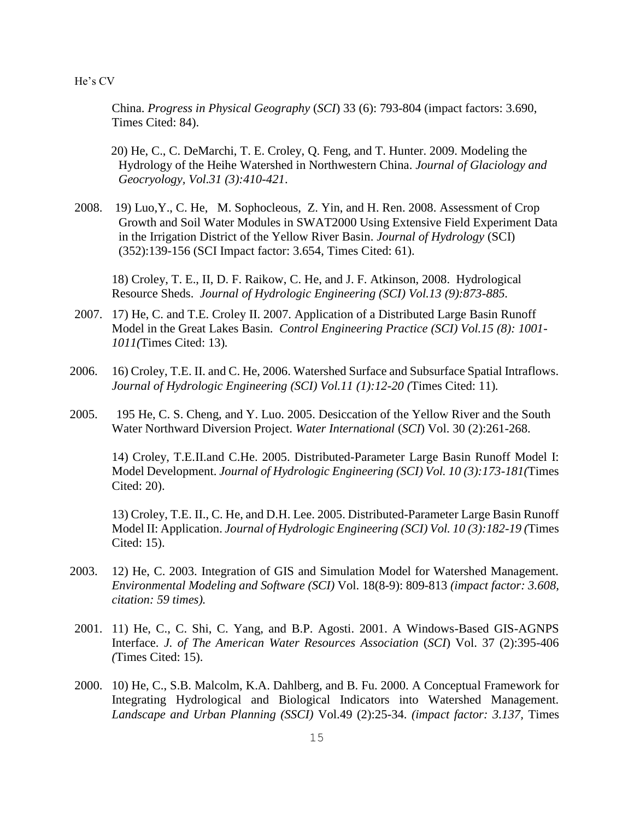China. *Progress in Physical Geography* (*SCI*) 33 (6): 793-804 (impact factors: 3.690, Times Cited: 84).

20) He, C., C. DeMarchi, T. E. Croley, Q. Feng, and T. Hunter. 2009. Modeling the Hydrology of the Heihe Watershed in Northwestern China. *Journal of Glaciology and Geocryology, Vol.31 (3):410-421*.

2008. 19) Luo,Y., C. He, M. Sophocleous, Z. Yin, and H. Ren. 2008. Assessment of Crop Growth and Soil Water Modules in SWAT2000 Using Extensive Field Experiment Data in the Irrigation District of the Yellow River Basin. *Journal of Hydrology* (SCI) (352):139-156 (SCI Impact factor: 3.654, Times Cited: 61).

18) Croley, T. E., II, D. F. Raikow, C. He, and J. F. Atkinson, 2008. Hydrological Resource Sheds. *Journal of Hydrologic Engineering (SCI) Vol.13 (9):873-885.*

- 2007. 17) He, C. and T.E. Croley II. 2007. Application of a Distributed Large Basin Runoff Model in the Great Lakes Basin. *Control Engineering Practice (SCI) Vol.15 (8): 1001- 1011(*Times Cited: 13)*.*
- 2006. 16) Croley, T.E. II. and C. He, 2006. Watershed Surface and Subsurface Spatial Intraflows. *Journal of Hydrologic Engineering (SCI) Vol.11 (1):12-20 (*Times Cited: 11)*.*
- 2005. 195 He, C. S. Cheng, and Y. Luo. 2005. Desiccation of the Yellow River and the South Water Northward Diversion Project. *Water International* (*SCI*) Vol. 30 (2):261-268.

14) Croley, T.E.II.and C.He. 2005. Distributed-Parameter Large Basin Runoff Model I: Model Development. *Journal of Hydrologic Engineering (SCI) Vol. 10 (3):173-181(*Times Cited: 20).

13) Croley, T.E. II., C. He, and D.H. Lee. 2005. Distributed-Parameter Large Basin Runoff Model II: Application. *Journal of Hydrologic Engineering (SCI) Vol. 10 (3):182-19 (*Times Cited: 15).

- 2003. 12) He, C. 2003. Integration of GIS and Simulation Model for Watershed Management. *Environmental Modeling and Software (SCI)* Vol. 18(8-9): 809-813 *(impact factor: 3.608, citation: 59 times).*
- 2001. 11) He, C., C. Shi, C. Yang, and B.P. Agosti. 2001. A Windows-Based GIS-AGNPS Interface. *J. of The American Water Resources Association* (*SCI*) Vol. 37 (2):395-406 *(*Times Cited: 15).
- 2000. 10) He, C., S.B. Malcolm, K.A. Dahlberg, and B. Fu. 2000. A Conceptual Framework for Integrating Hydrological and Biological Indicators into Watershed Management. *Landscape and Urban Planning (SSCI)* Vol.49 (2):25-34. *(impact factor: 3.137,* Times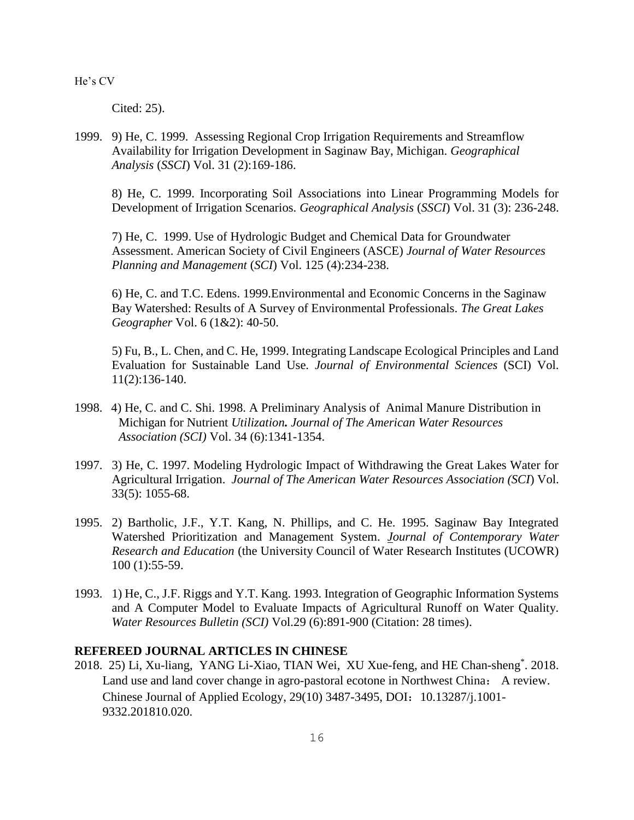Cited: 25).

1999. 9) He, C. 1999. Assessing Regional Crop Irrigation Requirements and Streamflow Availability for Irrigation Development in Saginaw Bay, Michigan. *Geographical Analysis* (*SSCI*) Vol. 31 (2):169-186.

8) He, C. 1999. Incorporating Soil Associations into Linear Programming Models for Development of Irrigation Scenarios. *Geographical Analysis* (*SSCI*) Vol. 31 (3): 236-248.

7) He, C. 1999. Use of Hydrologic Budget and Chemical Data for Groundwater Assessment. American Society of Civil Engineers (ASCE) *Journal of Water Resources Planning and Management* (*SCI*) Vol. 125 (4):234-238.

6) He, C. and T.C. Edens. 1999.Environmental and Economic Concerns in the Saginaw Bay Watershed: Results of A Survey of Environmental Professionals. *The Great Lakes Geographer* Vol. 6 (1&2): 40-50.

5) Fu, B., L. Chen, and C. He, 1999. Integrating Landscape Ecological Principles and Land Evaluation for Sustainable Land Use. *Journal of Environmental Sciences* (SCI) Vol. 11(2):136-140.

- 1998. 4) He, C. and C. Shi. 1998. A Preliminary Analysis of Animal Manure Distribution in Michigan for Nutrient *Utilization. Journal of The American Water Resources Association (SCI)* Vol. 34 (6):1341-1354.
- 1997. 3) He, C. 1997. Modeling Hydrologic Impact of Withdrawing the Great Lakes Water for Agricultural Irrigation. *Journal of The American Water Resources Association (SCI*) Vol. 33(5): 1055-68.
- 1995. 2) Bartholic, J.F., Y.T. Kang, N. Phillips, and C. He. 1995. Saginaw Bay Integrated Watershed Prioritization and Management System. *[Journal of Contemporary Water](http://opensiuc.lib.siu.edu/jcwre)  [Research and Education](http://opensiuc.lib.siu.edu/jcwre)* (the University Council of Water Research Institutes (UCOWR) 100 (1):55-59.
- 1993. 1) He, C., J.F. Riggs and Y.T. Kang. 1993. Integration of Geographic Information Systems and A Computer Model to Evaluate Impacts of Agricultural Runoff on Water Quality. *Water Resources Bulletin (SCI)* Vol.29 (6):891-900 (Citation: 28 times).

# **REFEREED JOURNAL ARTICLES IN CHINESE**

2018. 25) Li, Xu-liang, YANG Li-Xiao, TIAN Wei, XU Xue-feng, and HE Chan-sheng\* . 2018. Land use and land cover change in agro-pastoral ecotone in Northwest China: A review. Chinese Journal of Applied Ecology, 29(10) 3487-3495, DOI: 10.13287/j.1001-9332.201810.020.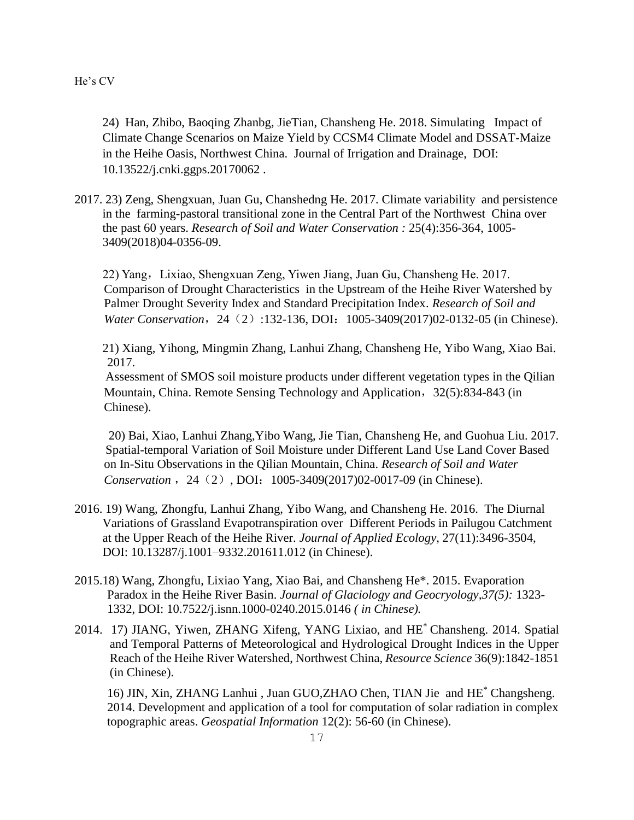24) Han, Zhibo, Baoqing Zhanbg, JieTian, Chansheng He. 2018. Simulating Impact of Climate Change Scenarios on Maize Yield by CCSM4 Climate Model and DSSAT-Maize in the Heihe Oasis, Northwest China. Journal of Irrigation and Drainage, DOI: 10.13522/j.cnki.ggps.20170062 .

2017. 23) Zeng, Shengxuan, Juan Gu, Chanshedng He. 2017. Climate variability and persistence in the farming-pastoral transitional zone in the Central Part of the Northwest China over the past 60 years. *Research of Soil and Water Conservation :* 25(4):356-364, 1005- 3409(2018)04-0356-09.

22) Yang,Lixiao, Shengxuan Zeng, Yiwen Jiang, Juan Gu, Chansheng He. 2017. Comparison of Drought Characteristics in the Upstream of the Heihe River Watershed by Palmer Drought Severity Index and Standard Precipitation Index. *Research of Soil and Water Conservation*, 24 (2):132-136, DOI: 1005-3409(2017)02-0132-05 (in Chinese).

21) Xiang, Yihong, Mingmin Zhang, Lanhui Zhang, Chansheng He, Yibo Wang, Xiao Bai. 2017.

Assessment of SMOS soil moisture products under different vegetation types in the Qilian Mountain, China. Remote Sensing Technology and Application, 32(5):834-843 (in Chinese).

 20) Bai, Xiao, Lanhui Zhang,Yibo Wang, Jie Tian, Chansheng He, and Guohua Liu. 2017. Spatial-temporal Variation of Soil Moisture under Different Land Use Land Cover Based on In-Situ Observations in the Qilian Mountain, China. *Research of Soil and Water Conservation* , 24 (2), DOI: 1005-3409(2017)02-0017-09 (in Chinese).

- 2016. 19) Wang, Zhongfu, Lanhui Zhang, Yibo Wang, and Chansheng He. 2016. The Diurnal Variations of Grassland Evapotranspiration over Different Periods in Pailugou Catchment at the Upper Reach of the Heihe River. *Journal of Applied Ecology*, 27(11):3496-3504, DOI: 10.13287/j.1001–9332.201611.012 (in Chinese).
- 2015.18) Wang, Zhongfu, Lixiao Yang, Xiao Bai, and Chansheng He\*. 2015. Evaporation Paradox in the Heihe River Basin. *Journal of Glaciology and Geocryology,37(5):* 1323- 1332, DOI: 10.7522/j.isnn.1000-0240.2015.0146 *( in Chinese).*
- 2014. 17) JIANG, Yiwen, ZHANG Xifeng, YANG Lixiao, and HE\* Chansheng. 2014. Spatial and Temporal Patterns of Meteorological and Hydrological Drought Indices in the Upper Reach of the Heihe River Watershed, Northwest China, *Resource Science* 36(9):1842-1851 (in Chinese).

16) JIN, Xin, ZHANG Lanhui , Juan GUO,ZHAO Chen, TIAN Jie and HE\* Changsheng. 2014. Development and application of a tool for computation of solar radiation in complex topographic areas. *Geospatial Information* 12(2): 56-60 (in Chinese).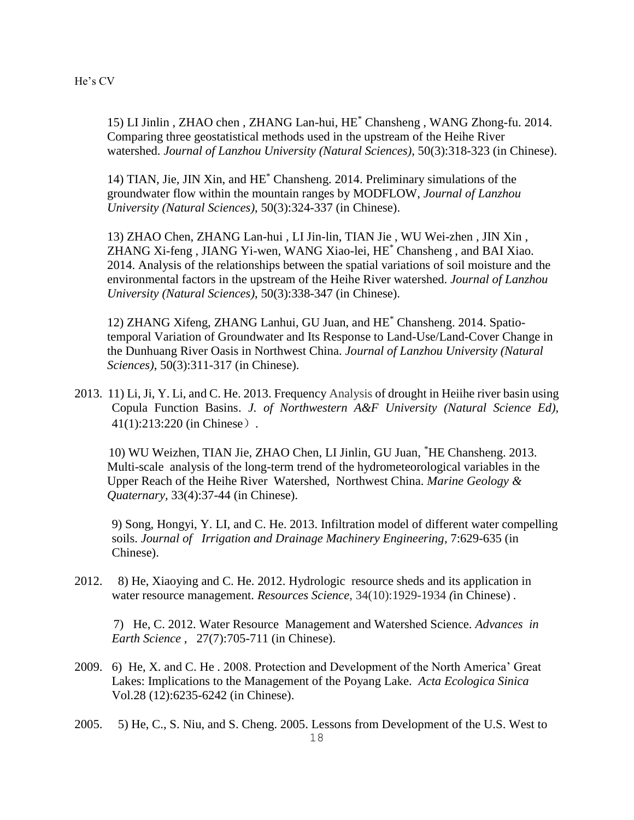15) LI Jinlin , ZHAO chen , ZHANG Lan-hui, HE\* Chansheng , WANG Zhong-fu. 2014. Comparing three geostatistical methods used in the upstream of the Heihe River watershed. *Journal of Lanzhou University (Natural Sciences)*, 50(3):318-323 (in Chinese).

14) TIAN, Jie, JIN Xin, and HE\* Chansheng. 2014. Preliminary simulations of the groundwater flow within the mountain ranges by MODFLOW, *Journal of Lanzhou University (Natural Sciences)*, 50(3):324-337 (in Chinese).

13) ZHAO Chen, ZHANG Lan-hui , LI Jin-lin, TIAN Jie , WU Wei-zhen , JIN Xin , ZHANG Xi-feng , JIANG Yi-wen, WANG Xiao-lei, HE\* Chansheng , and BAI Xiao. 2014. Analysis of the relationships between the spatial variations of soil moisture and the environmental factors in the upstream of the Heihe River watershed. *Journal of Lanzhou University (Natural Sciences)*, 50(3):338-347 (in Chinese).

12) ZHANG Xifeng, ZHANG Lanhui, GU Juan, and HE\* Chansheng. 2014. Spatiotemporal Variation of Groundwater and Its Response to Land-Use/Land-Cover Change in the Dunhuang River Oasis in Northwest China. *Journal of Lanzhou University (Natural Sciences)*, 50(3):311-317 (in Chinese).

2013. 11) Li, Ji, Y. Li, and C. He. 2013. Frequency Analysis of drought in Heiihe river basin using Copula Function Basins. *J. of Northwestern A&F University (Natural Science Ed),* 41(1):213:220 (in Chinese).

 10) WU Weizhen, TIAN Jie, ZHAO Chen, LI Jinlin, GU Juan, \*HE Chansheng. 2013. Multi-scale analysis of the long-term trend of the hydrometeorological variables in the Upper Reach of the Heihe River Watershed, Northwest China. *Marine Geology & Quaternary,* 33(4):37-44 (in Chinese).

9) Song, Hongyi, Y. LI, and C. He. 2013. Infiltration model of different water compelling soils. *Journal of Irrigation and Drainage Machinery Engineering*, 7:629-635 (in Chinese).

2012. 8) He, Xiaoying and C. He. 2012. Hydrologic resource sheds and its application in water resource management. *Resources Science*, 34(10):1929-1934 *(*in Chinese) *.*

 7) He, C. 2012. Water Resource Management and Watershed Science*. Advances in Earth Science* , 27(7):705-711 (in Chinese).

- 2009. 6) He, X. and C. He . 2008. Protection and Development of the North America' Great Lakes: Implications to the Management of the Poyang Lake. *Acta Ecologica Sinica* Vol.28 (12):6235-6242 (in Chinese).
- 18 2005. 5) He, C., S. Niu, and S. Cheng. 2005. Lessons from Development of the U.S. West to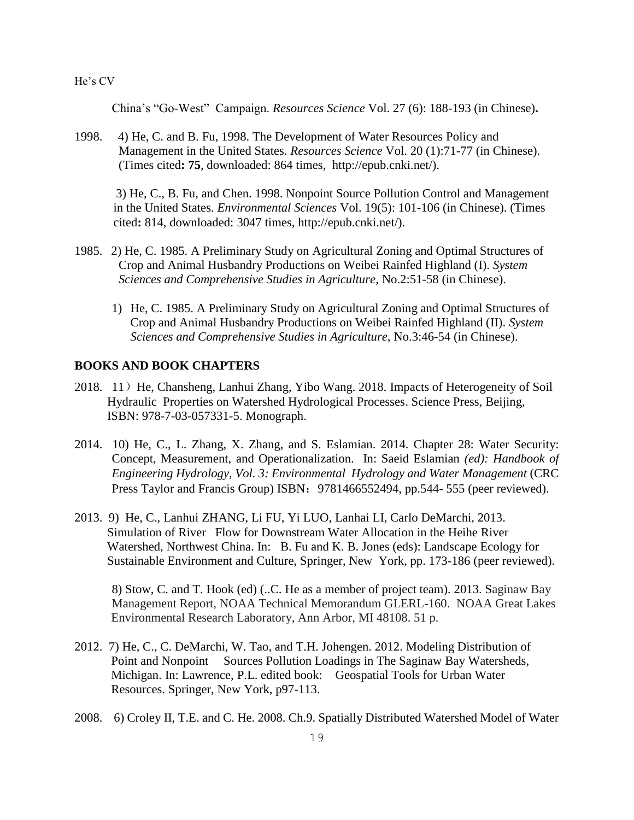China's "Go-West" Campaign. *Resources Science* Vol. 27 (6): 188-193 (in Chinese)**.**

1998. 4) He, C. and B. Fu, 1998. The Development of Water Resources Policy and Management in the United States. *Resources Science* Vol. 20 (1):71-77 (in Chinese). (Times cited**: 75**, downloaded: 864 times, http://epub.cnki.net/).

 3) He, C., B. Fu, and Chen. 1998. Nonpoint Source Pollution Control and Management in the United States. *Environmental Sciences* Vol. 19(5): 101-106 (in Chinese). (Times cited**:** 814, downloaded: 3047 times, http://epub.cnki.net/).

- 1985. 2) He, C. 1985. A Preliminary Study on Agricultural Zoning and Optimal Structures of Crop and Animal Husbandry Productions on Weibei Rainfed Highland (I). *System Sciences and Comprehensive Studies in Agriculture*, No.2:51-58 (in Chinese).
	- 1) He, C. 1985. A Preliminary Study on Agricultural Zoning and Optimal Structures of Crop and Animal Husbandry Productions on Weibei Rainfed Highland (II). *System Sciences and Comprehensive Studies in Agriculture*, No.3:46-54 (in Chinese).

# **BOOKS AND BOOK CHAPTERS**

- 2018. 11) He, Chansheng, Lanhui Zhang, Yibo Wang. 2018. Impacts of Heterogeneity of Soil Hydraulic Properties on Watershed Hydrological Processes. Science Press, Beijing, ISBN: 978-7-03-057331-5. Monograph.
- 2014. 10) He, C., L. Zhang, X. Zhang, and S. Eslamian. 2014. Chapter 28: Water Security: Concept, Measurement, and Operationalization. In: Saeid Eslamian *(ed): Handbook of Engineering Hydrology, Vol. 3: Environmental Hydrology and Water Management* (CRC Press Taylor and Francis Group) ISBN: 9781466552494, pp.544- 555 (peer reviewed).
- 2013. 9) He, C., Lanhui ZHANG, Li FU, Yi LUO, Lanhai LI, Carlo DeMarchi, 2013. Simulation of River Flow for Downstream Water Allocation in the Heihe River Watershed, Northwest China. In: B. Fu and K. B. Jones (eds): Landscape Ecology for Sustainable Environment and Culture, Springer, New York, pp. 173-186 (peer reviewed).

 8) Stow, C. and T. Hook (ed) (..C. He as a member of project team). 2013. Saginaw Bay Management Report, NOAA Technical Memorandum GLERL-160. NOAA Great Lakes Environmental Research Laboratory, Ann Arbor, MI 48108. 51 p.

- 2012. 7) He, C., C. DeMarchi, W. Tao, and T.H. Johengen. 2012. Modeling Distribution of Point and Nonpoint Sources Pollution Loadings in The Saginaw Bay Watersheds, Michigan. In: Lawrence, P.L. edited book: Geospatial Tools for Urban Water Resources. Springer, New York, p97-113.
- 2008. 6) Croley II, T.E. and C. He. 2008. Ch.9. Spatially Distributed Watershed Model of Water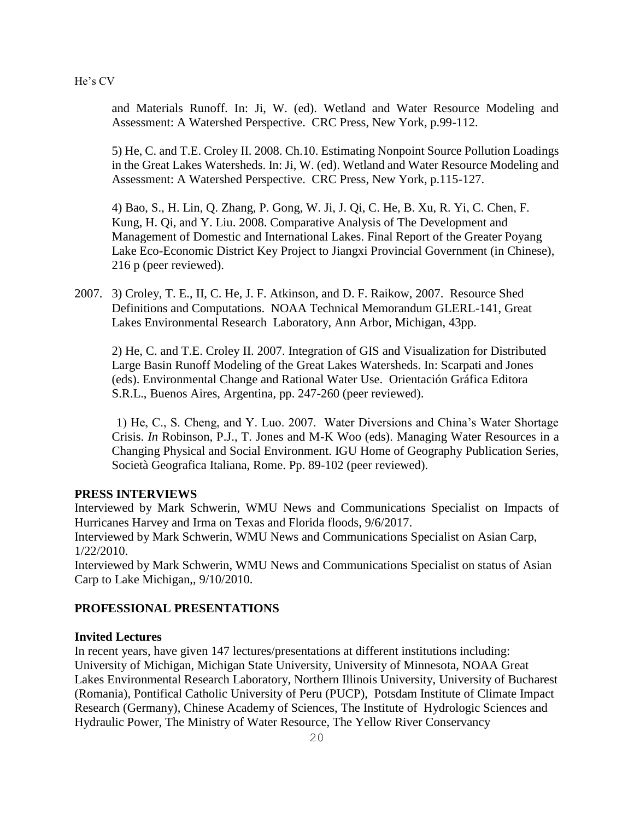and Materials Runoff. In: Ji, W. (ed). Wetland and Water Resource Modeling and Assessment: A Watershed Perspective. CRC Press, New York, p.99-112.

5) He, C. and T.E. Croley II. 2008. Ch.10. Estimating Nonpoint Source Pollution Loadings in the Great Lakes Watersheds. In: Ji, W. (ed). Wetland and Water Resource Modeling and Assessment: A Watershed Perspective. CRC Press, New York, p.115-127.

4) Bao, S., H. Lin, Q. Zhang, P. Gong, W. Ji, J. Qi, C. He, B. Xu, R. Yi, C. Chen, F. Kung, H. Qi, and Y. Liu. 2008. Comparative Analysis of The Development and Management of Domestic and International Lakes. Final Report of the Greater Poyang Lake Eco-Economic District Key Project to Jiangxi Provincial Government (in Chinese), 216 p (peer reviewed).

2007. 3) Croley, T. E., II, C. He, J. F. Atkinson, and D. F. Raikow, 2007. Resource Shed Definitions and Computations. NOAA Technical Memorandum GLERL-141, Great Lakes Environmental Research Laboratory, Ann Arbor, Michigan, 43pp.

2) He, C. and T.E. Croley II. 2007. Integration of GIS and Visualization for Distributed Large Basin Runoff Modeling of the Great Lakes Watersheds. In: Scarpati and Jones (eds). Environmental Change and Rational Water Use. Orientación Gráfica Editora S.R.L., Buenos Aires, Argentina, pp. 247-260 (peer reviewed).

 1) He, C., S. Cheng, and Y. Luo. 2007. Water Diversions and China's Water Shortage Crisis. *In* Robinson, P.J., T. Jones and M-K Woo (eds). Managing Water Resources in a Changing Physical and Social Environment. IGU Home of Geography Publication Series, Società Geografica Italiana, Rome. Pp. 89-102 (peer reviewed).

#### **PRESS INTERVIEWS**

Interviewed by Mark Schwerin, WMU News and Communications Specialist on Impacts of Hurricanes Harvey and Irma on Texas and Florida floods, 9/6/2017.

Interviewed by Mark Schwerin, WMU News and Communications Specialist on Asian Carp, 1/22/2010.

Interviewed by Mark Schwerin, WMU News and Communications Specialist on status of Asian Carp to Lake Michigan,, 9/10/2010.

## **PROFESSIONAL PRESENTATIONS**

#### **Invited Lectures**

In recent years, have given 147 lectures/presentations at different institutions including: University of Michigan, Michigan State University, University of Minnesota, NOAA Great Lakes Environmental Research Laboratory, Northern Illinois University, University of Bucharest (Romania), Pontifical Catholic University of Peru (PUCP), Potsdam Institute of Climate Impact Research (Germany), Chinese Academy of Sciences, The Institute of Hydrologic Sciences and Hydraulic Power, The Ministry of Water Resource, The Yellow River Conservancy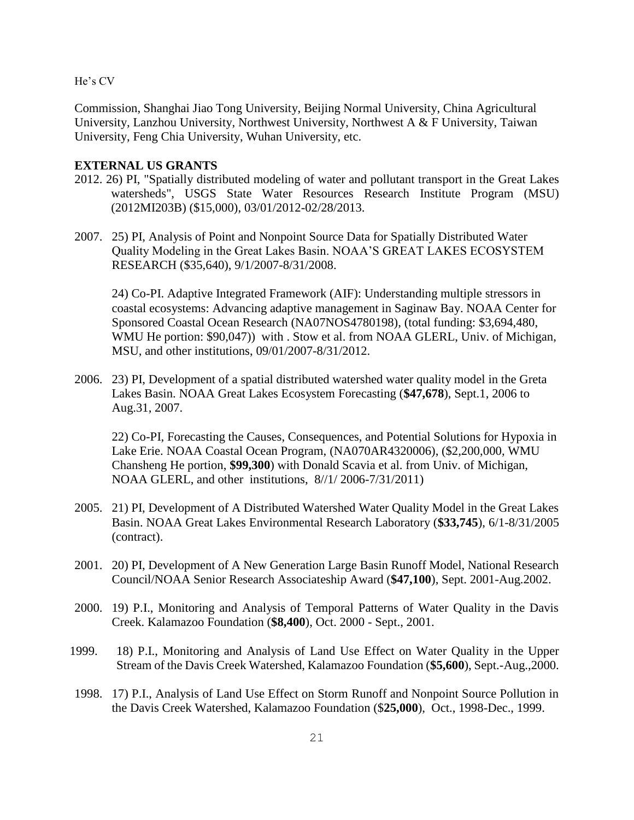Commission, Shanghai Jiao Tong University, Beijing Normal University, China Agricultural University, Lanzhou University, Northwest University, Northwest A & F University, Taiwan University, Feng Chia University, Wuhan University, etc.

# **EXTERNAL US GRANTS**

- 2012. 26) PI, "Spatially distributed modeling of water and pollutant transport in the Great Lakes watersheds", USGS State Water Resources Research Institute Program (MSU) (2012MI203B) (\$15,000), 03/01/2012-02/28/2013.
- 2007. 25) PI, Analysis of Point and Nonpoint Source Data for Spatially Distributed Water Quality Modeling in the Great Lakes Basin. NOAA'S GREAT LAKES ECOSYSTEM RESEARCH (\$35,640), 9/1/2007-8/31/2008.

24) Co-PI. Adaptive Integrated Framework (AIF): Understanding multiple stressors in coastal ecosystems: Advancing adaptive management in Saginaw Bay. NOAA Center for Sponsored Coastal Ocean Research (NA07NOS4780198), (total funding: \$3,694,480, WMU He portion: \$90,047)) with . Stow et al. from NOAA GLERL, Univ. of Michigan, MSU, and other institutions, 09/01/2007-8/31/2012.

2006. 23) PI, Development of a spatial distributed watershed water quality model in the Greta Lakes Basin. NOAA Great Lakes Ecosystem Forecasting (**\$47,678**), Sept.1, 2006 to Aug.31, 2007.

22) Co-PI, Forecasting the Causes, Consequences, and Potential Solutions for Hypoxia in Lake Erie. NOAA Coastal Ocean Program, (NA070AR4320006), (\$2,200,000, WMU Chansheng He portion, **\$99,300**) with Donald Scavia et al. from Univ. of Michigan, NOAA GLERL, and other institutions, 8//1/ 2006-7/31/2011)

- 2005. 21) PI, Development of A Distributed Watershed Water Quality Model in the Great Lakes Basin. NOAA Great Lakes Environmental Research Laboratory (**\$33,745**), 6/1-8/31/2005 (contract).
- 2001. 20) PI, Development of A New Generation Large Basin Runoff Model, National Research Council/NOAA Senior Research Associateship Award (**\$47,100**), Sept. 2001-Aug.2002.
- 2000. 19) P.I., Monitoring and Analysis of Temporal Patterns of Water Quality in the Davis Creek. Kalamazoo Foundation (**\$8,400**), Oct. 2000 - Sept., 2001.
- 1999. 18) P.I., Monitoring and Analysis of Land Use Effect on Water Quality in the Upper Stream of the Davis Creek Watershed, Kalamazoo Foundation (**\$5,600**), Sept.-Aug.,2000.
- 1998. 17) P.I., Analysis of Land Use Effect on Storm Runoff and Nonpoint Source Pollution in the Davis Creek Watershed, Kalamazoo Foundation (\$**25,000**), Oct., 1998-Dec., 1999.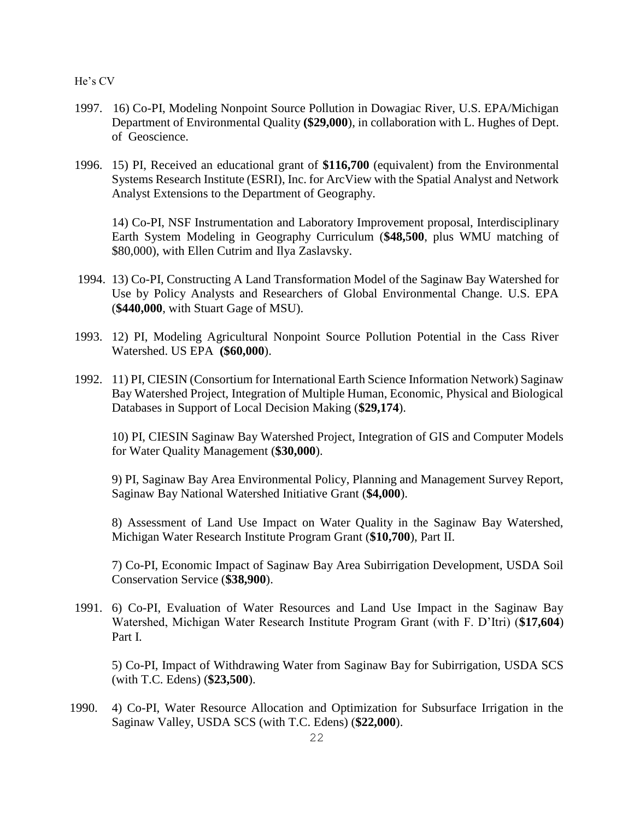- 1997. 16) Co-PI, Modeling Nonpoint Source Pollution in Dowagiac River, U.S. EPA/Michigan Department of Environmental Quality **(\$29,000**), in collaboration with L. Hughes of Dept. of Geoscience.
- 1996. 15) PI, Received an educational grant of **\$116,700** (equivalent) from the Environmental Systems Research Institute (ESRI), Inc. for ArcView with the Spatial Analyst and Network Analyst Extensions to the Department of Geography.

14) Co-PI, NSF Instrumentation and Laboratory Improvement proposal, Interdisciplinary Earth System Modeling in Geography Curriculum (**\$48,500**, plus WMU matching of \$80,000), with Ellen Cutrim and Ilya Zaslavsky.

- 1994. 13) Co-PI, Constructing A Land Transformation Model of the Saginaw Bay Watershed for Use by Policy Analysts and Researchers of Global Environmental Change. U.S. EPA (**\$440,000**, with Stuart Gage of MSU).
- 1993. 12) PI, Modeling Agricultural Nonpoint Source Pollution Potential in the Cass River Watershed. US EPA **(\$60,000**).
- 1992. 11) PI, CIESIN (Consortium for International Earth Science Information Network) Saginaw Bay Watershed Project, Integration of Multiple Human, Economic, Physical and Biological Databases in Support of Local Decision Making (**\$29,174**).

10) PI, CIESIN Saginaw Bay Watershed Project, Integration of GIS and Computer Models for Water Quality Management (**\$30,000**).

9) PI, Saginaw Bay Area Environmental Policy, Planning and Management Survey Report, Saginaw Bay National Watershed Initiative Grant (**\$4,000**).

8) Assessment of Land Use Impact on Water Quality in the Saginaw Bay Watershed, Michigan Water Research Institute Program Grant (**\$10,700**), Part II.

7) Co-PI, Economic Impact of Saginaw Bay Area Subirrigation Development, USDA Soil Conservation Service (**\$38,900**).

1991. 6) Co-PI, Evaluation of Water Resources and Land Use Impact in the Saginaw Bay Watershed, Michigan Water Research Institute Program Grant (with F. D'Itri) (**\$17,604**) Part I.

5) Co-PI, Impact of Withdrawing Water from Saginaw Bay for Subirrigation, USDA SCS (with T.C. Edens) (**\$23,500**).

1990. 4) Co-PI, Water Resource Allocation and Optimization for Subsurface Irrigation in the Saginaw Valley, USDA SCS (with T.C. Edens) (**\$22,000**).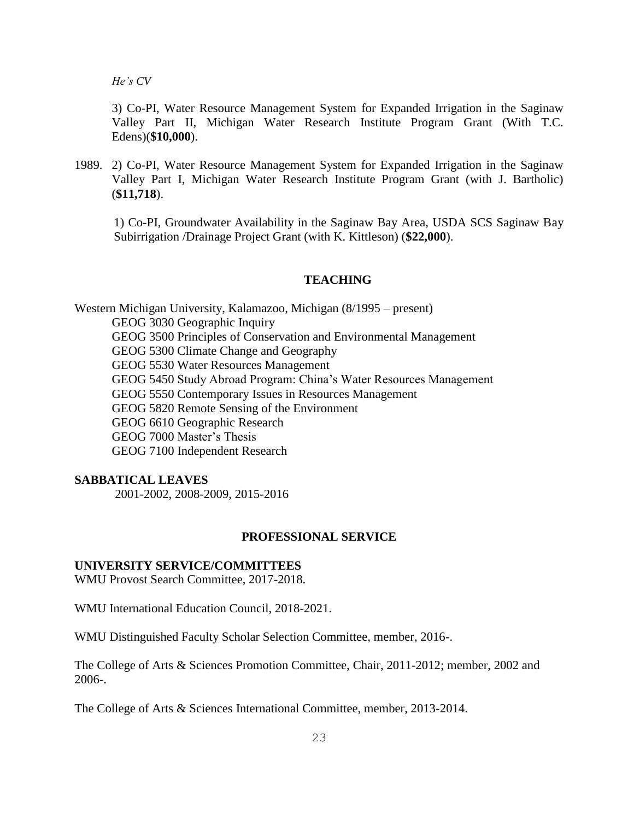3) Co-PI, Water Resource Management System for Expanded Irrigation in the Saginaw Valley Part II, Michigan Water Research Institute Program Grant (With T.C. Edens)(**\$10,000**).

1989. 2) Co-PI, Water Resource Management System for Expanded Irrigation in the Saginaw Valley Part I, Michigan Water Research Institute Program Grant (with J. Bartholic) (**\$11,718**).

1) Co-PI, Groundwater Availability in the Saginaw Bay Area, USDA SCS Saginaw Bay Subirrigation /Drainage Project Grant (with K. Kittleson) (**\$22,000**).

#### **TEACHING**

Western Michigan University, Kalamazoo, Michigan (8/1995 – present) GEOG 3030 Geographic Inquiry GEOG 3500 Principles of Conservation and Environmental Management GEOG 5300 Climate Change and Geography GEOG 5530 Water Resources Management GEOG 5450 Study Abroad Program: China's Water Resources Management GEOG 5550 Contemporary Issues in Resources Management GEOG 5820 Remote Sensing of the Environment GEOG 6610 Geographic Research GEOG 7000 Master's Thesis GEOG 7100 Independent Research

#### **SABBATICAL LEAVES**

2001-2002, 2008-2009, 2015-2016

### **PROFESSIONAL SERVICE**

#### **UNIVERSITY SERVICE/COMMITTEES**

WMU Provost Search Committee, 2017-2018.

WMU International Education Council, 2018-2021.

WMU Distinguished Faculty Scholar Selection Committee, member, 2016-.

The College of Arts & Sciences Promotion Committee, Chair, 2011-2012; member, 2002 and 2006-.

The College of Arts & Sciences International Committee, member, 2013-2014.